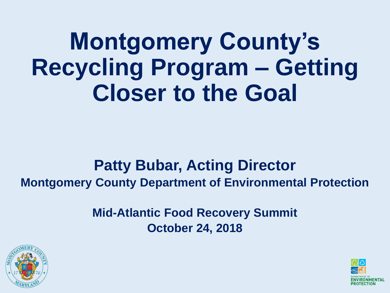**Montgomery County's Recycling Program – Getting Closer to the Goal**

#### **Patty Bubar, Acting Director Montgomery County Department of Environmental Protection**

**Mid-Atlantic Food Recovery Summit October 24, 2018**



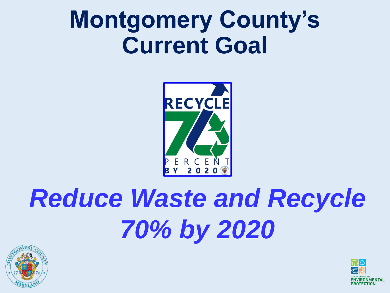#### **Montgomery County's Current Goal**



# *Reduce Waste and Recycle 70% by 2020*



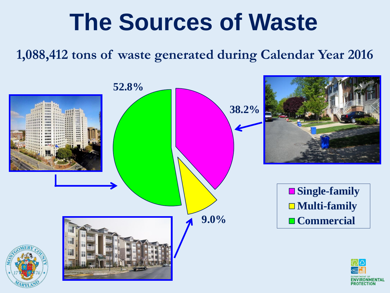#### **The Sources of Waste**

**1,088,412 tons of waste generated during Calendar Year 2016**

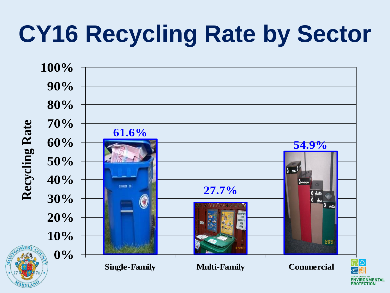# **CY16 Recycling Rate by Sector**

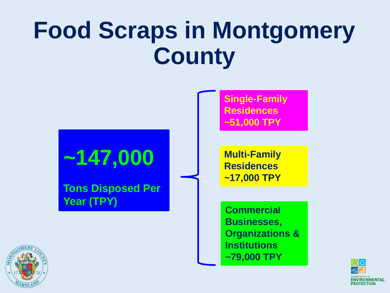### **Food Scraps in Montgomery County**



**Institutions**

**~79,000 TPY**



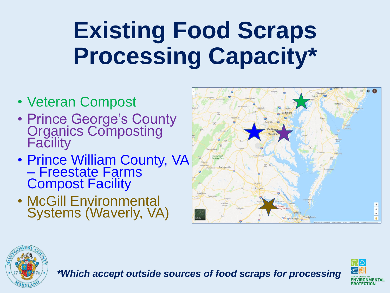# **Existing Food Scraps Processing Capacity\***

- Veteran Compost
- Prince George's County **Organics Composting Facility**
- Prince William County, VA – Freestate Farms Compost Facility
- McGill Environmental Systems (Waverly, VA)





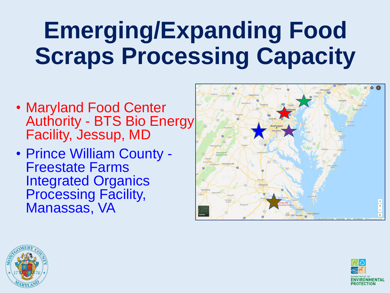## **Emerging/Expanding Food Scraps Processing Capacity**

- Maryland Food Center Authority - BTS Bio Energy Facility, Jessup, MD
- Prince William County Freestate Farms Integrated Organics Processing Facility, Manassas, VA





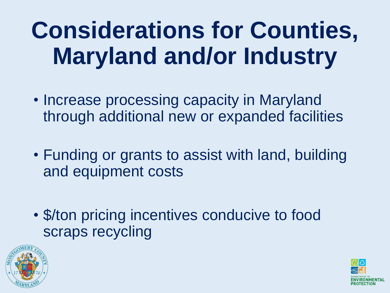# **Considerations for Counties, Maryland and/or Industry**

- Increase processing capacity in Maryland through additional new or expanded facilities
- Funding or grants to assist with land, building and equipment costs
- \$/ton pricing incentives conducive to food scraps recycling



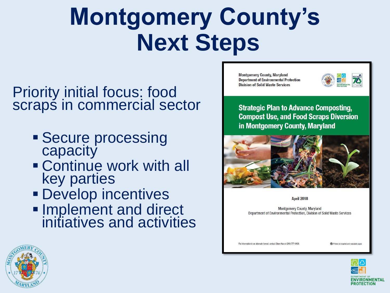### **Montgomery County's Next Steps**

#### Priority initial focus: food scraps in commercial sector

- **Secure processing** capacity
- Continue work with all key parties
- **Develop incentives**
- **Implement and direct** initiatives and activities

**Montgomery County, Maryland Department of Environmental Protection Division of Solid Waste Services** 

|                 | RECYCLE |
|-----------------|---------|
| <b>ROTECTIL</b> |         |

**Strategic Plan to Advance Composting, Compost Use, and Food Scraps Diversion** in Montgomery County, Maryland



April 2018

Montgomery County, Maryland Department of Environmental Protection, Division of Solid Waste Services

For information in an alternate format, contact Eileen Kao at (240) 777-6406

Printed on recycled and recyclable pape





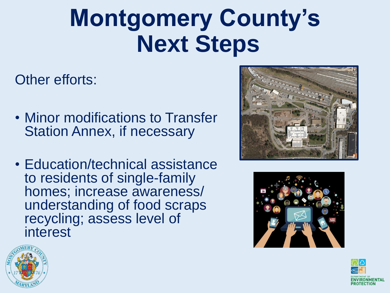### **Montgomery County's Next Steps**

Other efforts:

- Minor modifications to Transfer Station Annex, if necessary
- Education/technical assistance to residents of single-family homes; increase awareness/ understanding of food scraps recycling; assess level of interest